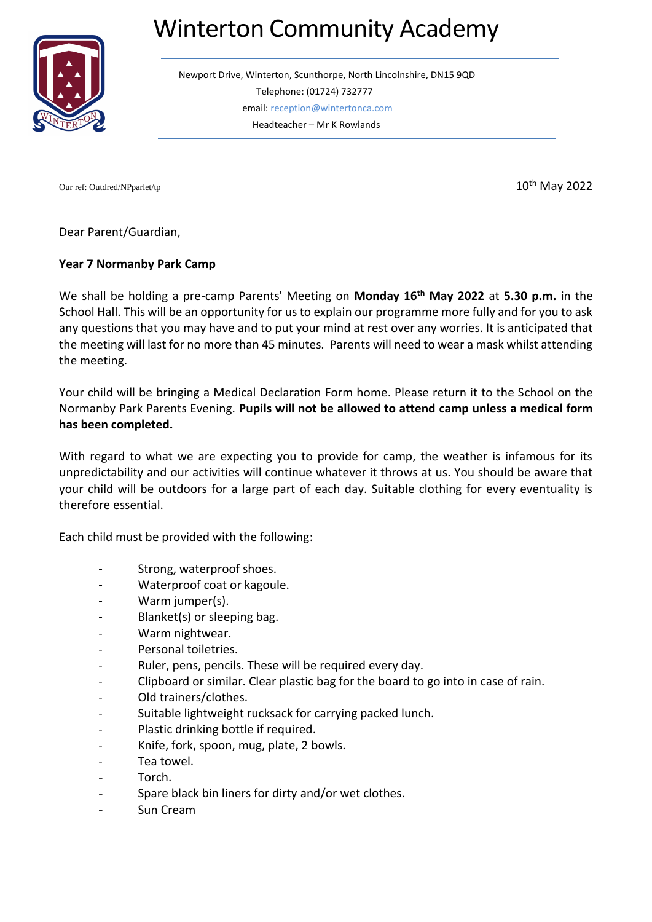## Winterton Community Academy



Newport Drive, Winterton, Scunthorpe, North Lincolnshire, DN15 9QD Telephone: (01724) 732777 email: reception@wintertonca.com Headteacher – Mr K Rowlands

Our ref: Outdred/NPparlet/tp 10<sup>th</sup> May 2022

Dear Parent/Guardian,

## **Year 7 Normanby Park Camp**

We shall be holding a pre-camp Parents' Meeting on **Monday 16th May 2022** at **5.30 p.m.** in the School Hall. This will be an opportunity for us to explain our programme more fully and for you to ask any questions that you may have and to put your mind at rest over any worries. It is anticipated that the meeting will last for no more than 45 minutes. Parents will need to wear a mask whilst attending the meeting.

Your child will be bringing a Medical Declaration Form home. Please return it to the School on the Normanby Park Parents Evening. **Pupils will not be allowed to attend camp unless a medical form has been completed.**

With regard to what we are expecting you to provide for camp, the weather is infamous for its unpredictability and our activities will continue whatever it throws at us. You should be aware that your child will be outdoors for a large part of each day. Suitable clothing for every eventuality is therefore essential.

Each child must be provided with the following:

- Strong, waterproof shoes.
- Waterproof coat or kagoule.
- Warm jumper(s).
- Blanket(s) or sleeping bag.
- Warm nightwear.
- Personal toiletries.
- Ruler, pens, pencils. These will be required every day.
- Clipboard or similar. Clear plastic bag for the board to go into in case of rain.
- Old trainers/clothes.
- Suitable lightweight rucksack for carrying packed lunch.
- Plastic drinking bottle if required.
- Knife, fork, spoon, mug, plate, 2 bowls.
- Tea towel.
- Torch.
- Spare black bin liners for dirty and/or wet clothes.
- Sun Cream